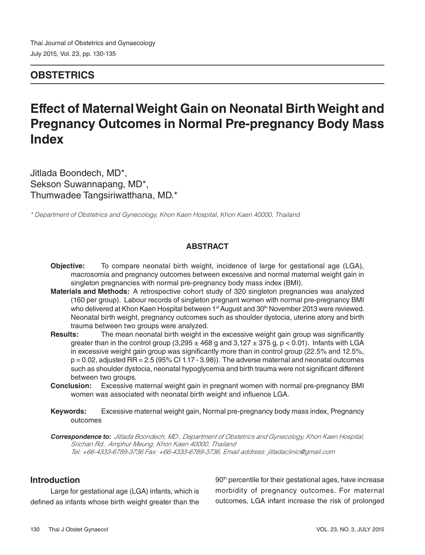# **OBSTETRICS**

# **Effect of Maternal Weight Gain on Neonatal Birth Weight and Pregnancy Outcomes in Normal Pre-pregnancy Body Mass Index**

Jitlada Boondech, MD\*, Sekson Suwannapang, MD\*, Thumwadee Tangsiriwatthana, MD.\*

*\* Department of Obstetrics and Gynecology, Khon Kaen Hospital, Khon Kaen 40000, Thailand*

### **ABSTRACT**

- **Objective:** To compare neonatal birth weight, incidence of large for gestational age (LGA), macrosomia and pregnancy outcomes between excessive and normal maternal weight gain in singleton pregnancies with normal pre-pregnancy body mass index (BMI).
- **Materials and Methods:** A retrospective cohort study of 320 singleton pregnancies was analyzed (160 per group). Labour records of singleton pregnant women with normal pre-pregnancy BMI who delivered at Khon Kaen Hospital between 1<sup>st</sup> August and 30<sup>th</sup> November 2013 were reviewed. Neonatal birth weight, pregnancy outcomes such as shoulder dystocia, uterine atony and birth trauma between two groups were analyzed.
- **Results:** The mean neonatal birth weight in the excessive weight gain group was significantly greater than in the control group  $(3,295 \pm 468 \text{ g}$  and  $3,127 \pm 375 \text{ g}$ , p < 0.01). Infants with LGA in excessive weight gain group was significantly more than in control group (22.5% and 12.5%,  $p = 0.02$ , adjusted RR = 2.5 (95% CI 1.17 - 3.98)). The adverse maternal and neonatal outcomes such as shoulder dystocia, neonatal hypoglycemia and birth trauma were not significant different between two groups.
- **Conclusion:** Excessive maternal weight gain in pregnant women with normal pre-pregnancy BMI women was associated with neonatal birth weight and influence LGA.
- **Keywords:** Excessive maternal weight gain, Normal pre-pregnancy body mass index, Pregnancy outcomes

**Correspondence to:** *Jitlada Boondech, MD., Department of Obstetrics and Gynecology, Khon Kaen Hospital, Srichan Rd., Amphur Meung, Khon Kaen 40000, Thailand Tel: +66-4333-6789-3736 Fax: +66-4333-6789-3736, Email address: jitladaclinic@gmail.com*

# **Introduction**

Large for gestational age (LGA) infants, which is defined as infants whose birth weight greater than the 90<sup>th</sup> percentile for their gestational ages, have increase morbidity of pregnancy outcomes. For maternal outcomes, LGA infant increase the risk of prolonged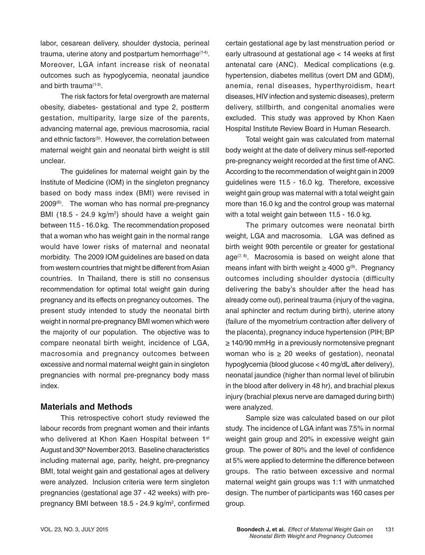labor, cesarean delivery, shoulder dystocia, perineal trauma, uterine atony and postpartum hemorrhage(1-4). Moreover, LGA infant increase risk of neonatal outcomes such as hypoglycemia, neonatal jaundice and birth trauma(1-3).

The risk factors for fetal overgrowth are maternal obesity, diabetes- gestational and type 2, postterm gestation, multiparity, large size of the parents, advancing maternal age, previous macrosomia, racial and ethnic factors<sup>(5)</sup>. However, the correlation between maternal weight gain and neonatal birth weight is still unclear.

The guidelines for maternal weight gain by the Institute of Medicine (IOM) in the singleton pregnancy based on body mass index (BMI) were revised in  $2009<sup>(6)</sup>$ . The woman who has normal pre-pregnancy BMI  $(18.5 - 24.9 \text{ kg/m}^2)$  should have a weight gain between 11.5 - 16.0 kg. The recommendation proposed that a woman who has weight gain in the normal range would have lower risks of maternal and neonatal morbidity. The 2009 IOM guidelines are based on data from western countries that might be different from Asian countries. In Thailand, there is still no consensus recommendation for optimal total weight gain during pregnancy and its effects on pregnancy outcomes. The present study intended to study the neonatal birth weight in normal pre-pregnancy BMI women which were the majority of our population. The objective was to compare neonatal birth weight, incidence of LGA, macrosomia and pregnancy outcomes between excessive and normal maternal weight gain in singleton pregnancies with normal pre-pregnancy body mass index.

# **Materials and Methods**

This retrospective cohort study reviewed the labour records from pregnant women and their infants who delivered at Khon Kaen Hospital between 1st August and 30th November 2013. Baseline characteristics including maternal age, parity, height, pre-pregnancy BMI, total weight gain and gestational ages at delivery were analyzed. Inclusion criteria were term singleton pregnancies (gestational age 37 - 42 weeks) with prepregnancy BMI between 18.5 - 24.9 kg/m<sup>2</sup>, confirmed certain gestational age by last menstruation period or early ultrasound at gestational age < 14 weeks at first antenatal care (ANC). Medical complications (e.g. hypertension, diabetes mellitus (overt DM and GDM), anemia, renal diseases, hyperthyroidism, heart diseases, HIV infection and systemic diseases), preterm delivery, stillbirth, and congenital anomalies were excluded. This study was approved by Khon Kaen Hospital Institute Review Board in Human Research.

Total weight gain was calculated from maternal body weight at the date of delivery minus self-reported pre-pregnancy weight recorded at the first time of ANC. According to the recommendation of weight gain in 2009 guidelines were 11.5 - 16.0 kg. Therefore, excessive weight gain group was maternal with a total weight gain more than 16.0 kg and the control group was maternal with a total weight gain between 11.5 - 16.0 kg.

The primary outcomes were neonatal birth weight, LGA and macrosomia. LGA was defined as birth weight 90th percentile or greater for gestational age<sup> $(7, 8)$ </sup>. Macrosomia is based on weight alone that means infant with birth weight  $\geq 4000$  g<sup>(9)</sup>. Pregnancy outcomes including shoulder dystocia (difficulty delivering the baby's shoulder after the head has already come out), perineal trauma (injury of the vagina, anal sphincter and rectum during birth), uterine atony (failure of the myometrium contraction after delivery of the placenta), pregnancy induce hypertension (PIH; BP ≥ 140/90 mmHg in a previously normotensive pregnant woman who is  $\geq 20$  weeks of gestation), neonatal hypoglycemia (blood glucose < 40 mg/dL after delivery), neonatal jaundice (higher than normal level of bilirubin in the blood after delivery in 48 hr), and brachial plexus injury (brachial plexus nerve are damaged during birth) were analyzed.

Sample size was calculated based on our pilot study. The incidence of LGA infant was 7.5% in normal weight gain group and 20% in excessive weight gain group. The power of 80% and the level of confidence at 5% were applied to determine the difference between groups. The ratio between excessive and normal maternal weight gain groups was 1:1 with unmatched design. The number of participants was 160 cases per group.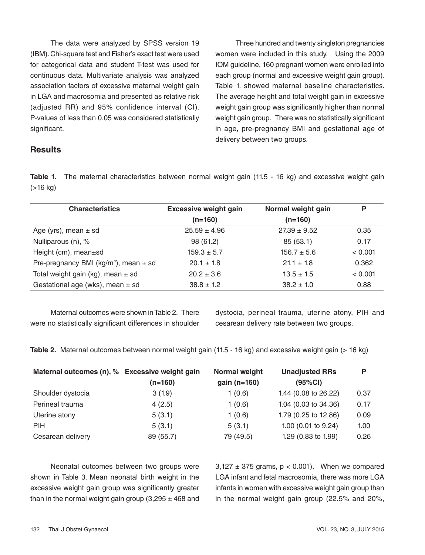The data were analyzed by SPSS version 19 (IBM). Chi-square test and Fisher's exact test were used for categorical data and student T-test was used for continuous data. Multivariate analysis was analyzed association factors of excessive maternal weight gain in LGA and macrosomia and presented as relative risk (adjusted RR) and 95% confidence interval (CI). P-values of less than 0.05 was considered statistically significant.

Three hundred and twenty singleton pregnancies women were included in this study. Using the 2009 IOM guideline, 160 pregnant women were enrolled into each group (normal and excessive weight gain group). Table 1. showed maternal baseline characteristics. The average height and total weight gain in excessive weight gain group was significantly higher than normal weight gain group. There was no statistically significant in age, pre-pregnancy BMI and gestational age of delivery between two groups.

### **Results**

**Table 1.** The maternal characteristics between normal weight gain (11.5 - 16 kg) and excessive weight gain (>16 kg)

| <b>Characteristics</b>                       | <b>Excessive weight gain</b> | Normal weight gain | P       |
|----------------------------------------------|------------------------------|--------------------|---------|
|                                              | $(n=160)$                    | $(n=160)$          |         |
| Age (yrs), mean $\pm$ sd                     | $25.59 \pm 4.96$             | $27.39 \pm 9.52$   | 0.35    |
| Nulliparous (n), %                           | 98 (61.2)                    | 85(53.1)           | 0.17    |
| Height (cm), mean±sd                         | $159.3 \pm 5.7$              | $156.7 \pm 5.6$    | < 0.001 |
| Pre-pregnancy BMI ( $kg/m2$ ), mean $\pm$ sd | $20.1 \pm 1.8$               | $21.1 + 1.8$       | 0.362   |
| Total weight gain (kg), mean $\pm$ sd        | $20.2 \pm 3.6$               | $13.5 \pm 1.5$     | < 0.001 |
| Gestational age (wks), mean $\pm$ sd         | $38.8 \pm 1.2$               | $38.2 \pm 1.0$     | 0.88    |

Maternal outcomes were shown in Table 2. There were no statistically significant differences in shoulder dystocia, perineal trauma, uterine atony, PIH and cesarean delivery rate between two groups.

**Table 2.** Maternal outcomes between normal weight gain (11.5 - 16 kg) and excessive weight gain (> 16 kg)

| Maternal outcomes (n), % Excessive weight gain |           | Normal weight | <b>Unadjusted RRs</b> | P    |
|------------------------------------------------|-----------|---------------|-----------------------|------|
|                                                | (n=160)   | gain (n=160)  | (95%CI)               |      |
| Shoulder dystocia                              | 3(1.9)    | 1(0.6)        | 1.44 (0.08 to 26.22)  | 0.37 |
| Perineal trauma                                | 4(2.5)    | 1(0.6)        | 1.04 (0.03 to 34.36)  | 0.17 |
| Uterine atony                                  | 5(3.1)    | 1(0.6)        | 1.79 (0.25 to 12.86)  | 0.09 |
| <b>PIH</b>                                     | 5(3.1)    | 5(3.1)        | 1.00 (0.01 to 9.24)   | 1.00 |
| Cesarean delivery                              | 89 (55.7) | 79 (49.5)     | 1.29 (0.83 to 1.99)   | 0.26 |

Neonatal outcomes between two groups were shown in Table 3. Mean neonatal birth weight in the excessive weight gain group was significantly greater than in the normal weight gain group  $(3,295 \pm 468$  and

 $3,127 \pm 375$  grams,  $p < 0.001$ ). When we compared LGA infant and fetal macrosomia, there was more LGA infants in women with excessive weight gain group than in the normal weight gain group (22.5% and 20%,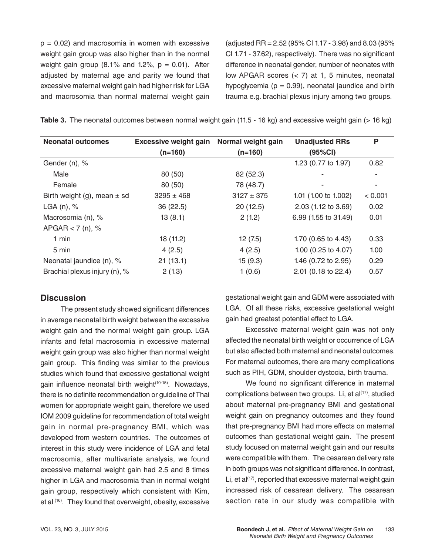$p = 0.02$ ) and macrosomia in women with excessive weight gain group was also higher than in the normal weight gain group (8.1% and 1.2%,  $p = 0.01$ ). After adjusted by maternal age and parity we found that excessive maternal weight gain had higher risk for LGA and macrosomia than normal maternal weight gain (adjusted RR = 2.52 (95% CI 1.17 - 3.98) and 8.03 (95% CI 1.71 - 37.62), respectively). There was no significant difference in neonatal gender, number of neonates with low APGAR scores (< 7) at 1, 5 minutes, neonatal hypoglycemia ( $p = 0.99$ ), neonatal jaundice and birth trauma e.g. brachial plexus injury among two groups.

**Table 3.** The neonatal outcomes between normal weight gain (11.5 - 16 kg) and excessive weight gain (> 16 kg)

| <b>Neonatal outcomes</b>        | <b>Excessive weight gain</b> | Normal weight gain | <b>Unadjusted RRs</b> | P       |
|---------------------------------|------------------------------|--------------------|-----------------------|---------|
|                                 | $(n=160)$                    | $(n=160)$          | (95%CI)               |         |
| Gender (n), %                   |                              |                    | 1.23 (0.77 to 1.97)   | 0.82    |
| Male                            | 80 (50)                      | 82 (52.3)          |                       | ٠       |
| Female                          | 80 (50)                      | 78 (48.7)          |                       | ٠       |
| Birth weight (g), mean $\pm$ sd | $3295 \pm 468$               | $3127 \pm 375$     | 1.01 (1.00 to 1.002)  | < 0.001 |
| LGA $(n)$ , %                   | 36 (22.5)                    | 20(12.5)           | 2.03 (1.12 to 3.69)   | 0.02    |
| Macrosomia (n), %               | 13(8.1)                      | 2(1.2)             | 6.99 (1.55 to 31.49)  | 0.01    |
| APGAR $<$ 7 (n), %              |                              |                    |                       |         |
| $1$ min                         | 18 (11.2)                    | 12(7.5)            | 1.70 (0.65 to 4.43)   | 0.33    |
| 5 min                           | 4(2.5)                       | 4(2.5)             | 1.00 (0.25 to 4.07)   | 1.00    |
| Neonatal jaundice (n), %        | 21(13.1)                     | 15(9.3)            | 1.46 (0.72 to 2.95)   | 0.29    |
| Brachial plexus injury (n), %   | 2(1.3)                       | 1(0.6)             | 2.01 (0.18 to 22.4)   | 0.57    |

#### **Discussion**

The present study showed significant differences in average neonatal birth weight between the excessive weight gain and the normal weight gain group. LGA infants and fetal macrosomia in excessive maternal weight gain group was also higher than normal weight gain group. This finding was similar to the previous studies which found that excessive gestational weight gain influence neonatal birth weight<sup>(10-15)</sup>. Nowadays, there is no definite recommendation or guideline of Thai women for appropriate weight gain, therefore we used IOM 2009 guideline for recommendation of total weight gain in normal pre-pregnancy BMI, which was developed from western countries. The outcomes of interest in this study were incidence of LGA and fetal macrosomia, after multivariate analysis, we found excessive maternal weight gain had 2.5 and 8 times higher in LGA and macrosomia than in normal weight gain group, respectively which consistent with Kim, et al (16). They found that overweight, obesity, excessive

gestational weight gain and GDM were associated with LGA. Of all these risks, excessive gestational weight gain had greatest potential effect to LGA.

Excessive maternal weight gain was not only affected the neonatal birth weight or occurrence of LGA but also affected both maternal and neonatal outcomes. For maternal outcomes, there are many complications such as PIH, GDM, shoulder dystocia, birth trauma.

We found no significant difference in maternal complications between two groups. Li, et al<sup>(17)</sup>, studied about maternal pre-pregnancy BMI and gestational weight gain on pregnancy outcomes and they found that pre-pregnancy BMI had more effects on maternal outcomes than gestational weight gain. The present study focused on maternal weight gain and our results were compatible with them. The cesarean delivery rate in both groups was not significant difference. In contrast, Li, et al<sup>(17)</sup>, reported that excessive maternal weight gain increased risk of cesarean delivery. The cesarean section rate in our study was compatible with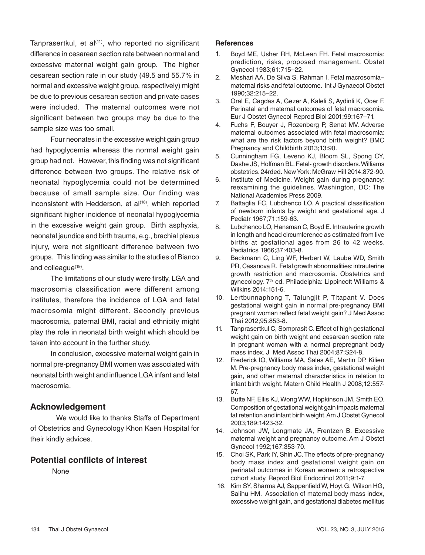Tanprasertkul, et al<sup>(11)</sup>, who reported no significant difference in cesarean section rate between normal and excessive maternal weight gain group. The higher cesarean section rate in our study (49.5 and 55.7% in normal and excessive weight group, respectively) might be due to previous cesarean section and private cases were included. The maternal outcomes were not significant between two groups may be due to the sample size was too small.

Four neonates in the excessive weight gain group had hypoglycemia whereas the normal weight gain group had not. However, this finding was not significant difference between two groups. The relative risk of neonatal hypoglycemia could not be determined because of small sample size. Our finding was inconsistent with Hedderson, et  $al^{(18)}$ , which reported significant higher incidence of neonatal hypoglycemia in the excessive weight gain group. Birth asphyxia, neonatal jaundice and birth trauma, e.g., brachial plexus injury, were not significant difference between two groups. This finding was similar to the studies of Bianco and colleague<sup>(19)</sup>.

The limitations of our study were firstly, LGA and macrosomia classification were different among institutes, therefore the incidence of LGA and fetal macrosomia might different. Secondly previous macrosomia, paternal BMI, racial and ethnicity might play the role in neonatal birth weight which should be taken into account in the further study.

In conclusion, excessive maternal weight gain in normal pre-pregnancy BMI women was associated with neonatal birth weight and influence LGA infant and fetal macrosomia.

# **Acknowledgement**

 We would like to thanks Staffs of Department of Obstetrics and Gynecology Khon Kaen Hospital for their kindly advices.

# **Potential conflicts of interest**

None

#### **References**

- 1. Boyd ME, Usher RH, McLean FH. Fetal macrosomia: prediction, risks, proposed management. Obstet Gynecol 1983;61:715–22.
- 2. Meshari AA, De Silva S, Rahman I. Fetal macrosomia– maternal risks and fetal outcome. Int J Gynaecol Obstet 1990;32:215–22.
- 3. Oral E, Cagdas A, Gezer A, Kaleli S, Aydinli K, Ocer F. Perinatal and maternal outcomes of fetal macrosomia. Eur J Obstet Gynecol Reprod Biol 2001;99:167–71.
- 4. Fuchs F, Bouyer J, Rozenberg P, Senat MV. Adverse maternal outcomes associated with fetal macrosomia: what are the risk factors beyond birth weight? BMC Pregnancy and Childbirth 2013;13:90.
- 5. Cunningham FG, Leveno KJ, Bloom SL, Spong CY, Dashe JS, Hoffman BL. Fetal- growth disorders. Williams obstetrics. 24rded. New York: McGraw Hill 2014:872-90.
- 6. Institute of Medicine. Weight gain during pregnancy: reexamining the guidelines. Washington, DC: The National Academies Press 2009.
- 7. Battaglia FC, Lubchenco LO. A practical classification of newborn infants by weight and gestational age. J Pediatr 1967;71:159-63.
- 8. Lubchenco LO, Hansman C, Boyd E. Intrauterine growth in length and head circumference as estimated from live births at gestational ages from 26 to 42 weeks. Pediatrics 1966;37:403-8.
- 9. Beckmann C, Ling WF, Herbert W, Laube WD, Smith PR, Casanova R. Fetal growth abnormalities: intrauterine growth restriction and macrosomia. Obstetrics and gynecology. 7<sup>th</sup> ed. Philadeiphia: Lippincott Williams & Wilkins 2014:151-6.
- 10. Lertbunnaphong T, Talungjit P, Titapant V. Does gestational weight gain in normal pre-pregnancy BMI pregnant woman reflect fetal weight gain? J Med Assoc Thai 2012;95:853-8.
- 11. Tanprasertkul C, Somprasit C. Effect of high gestational weight gain on birth weight and cesarean section rate in pregnant woman with a normal prepregnant body mass index. J Med Assoc Thai 2004;87:S24-8.
- 12. Frederick IO, Williams MA, Sales AE, Martin DP, Kilien M. Pre-pregnancy body mass index, gestational weight gain, and other maternal characteristics in relation to infant birth weight. Matern Child Health J 2008;12:557- 67.
- 13. Butte NF, Ellis KJ, Wong WW, Hopkinson JM, Smith EO. Composition of gestational weight gain impacts maternal fat retention and infant birth weight. Am J Obstet Gynecol 2003;189:1423-32.
- 14. Johnson JW, Longmate JA, Frentzen B. Excessive maternal weight and pregnancy outcome. Am J Obstet Gynecol 1992;167:353-70.
- 15. Choi SK, Park IY, Shin JC. The effects of pre-pregnancy body mass index and gestational weight gain on perinatal outcomes in Korean women: a retrospective cohort study. Reprod Biol Endocrinol 2011;9:1-7.
- 16. Kim SY, Sharma AJ, Sappenfield W, Hoyt G. Wilson HG, Salihu HM. Association of maternal body mass index, excessive weight gain, and gestational diabetes mellitus